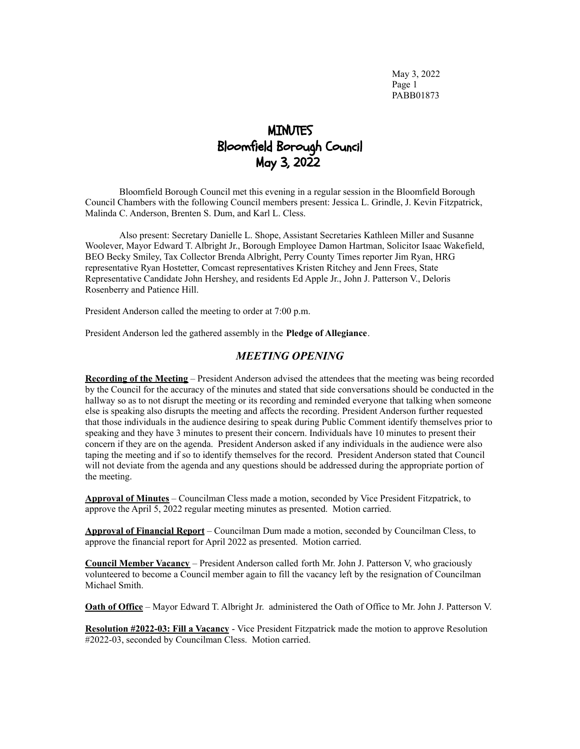May 3, 2022 Page 1 PABB01873

# MINUTES Bloomfield Borough Council May 3, 2022

Bloomfield Borough Council met this evening in a regular session in the Bloomfield Borough Council Chambers with the following Council members present: Jessica L. Grindle, J. Kevin Fitzpatrick, Malinda C. Anderson, Brenten S. Dum, and Karl L. Cless.

Also present: Secretary Danielle L. Shope, Assistant Secretaries Kathleen Miller and Susanne Woolever, Mayor Edward T. Albright Jr., Borough Employee Damon Hartman, Solicitor Isaac Wakefield, BEO Becky Smiley, Tax Collector Brenda Albright, Perry County Times reporter Jim Ryan, HRG representative Ryan Hostetter, Comcast representatives Kristen Ritchey and Jenn Frees, State Representative Candidate John Hershey, and residents Ed Apple Jr., John J. Patterson V., Deloris Rosenberry and Patience Hill.

President Anderson called the meeting to order at 7:00 p.m.

President Anderson led the gathered assembly in the **Pledge of Allegiance**.

### *MEETING OPENING*

**Recording of the Meeting** – President Anderson advised the attendees that the meeting was being recorded by the Council for the accuracy of the minutes and stated that side conversations should be conducted in the hallway so as to not disrupt the meeting or its recording and reminded everyone that talking when someone else is speaking also disrupts the meeting and affects the recording. President Anderson further requested that those individuals in the audience desiring to speak during Public Comment identify themselves prior to speaking and they have 3 minutes to present their concern. Individuals have 10 minutes to present their concern if they are on the agenda. President Anderson asked if any individuals in the audience were also taping the meeting and if so to identify themselves for the record. President Anderson stated that Council will not deviate from the agenda and any questions should be addressed during the appropriate portion of the meeting.

**Approval of Minutes** – Councilman Cless made a motion, seconded by Vice President Fitzpatrick, to approve the April 5, 2022 regular meeting minutes as presented. Motion carried.

**Approval of Financial Report** – Councilman Dum made a motion, seconded by Councilman Cless, to approve the financial report for April 2022 as presented. Motion carried.

**Council Member Vacancy** – President Anderson called forth Mr. John J. Patterson V, who graciously volunteered to become a Council member again to fill the vacancy left by the resignation of Councilman Michael Smith.

**Oath of Office** – Mayor Edward T. Albright Jr. administered the Oath of Office to Mr. John J. Patterson V.

**Resolution #2022-03: Fill a Vacancy** - Vice President Fitzpatrick made the motion to approve Resolution #2022-03, seconded by Councilman Cless. Motion carried.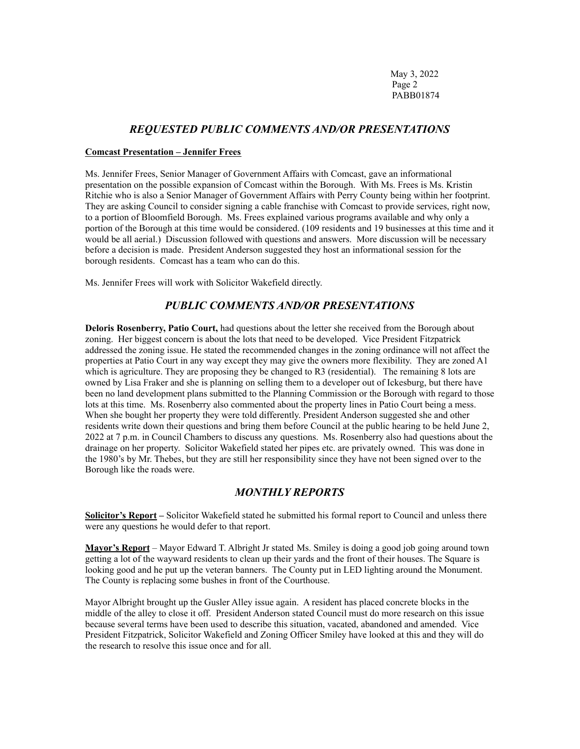May 3, 2022 Page 2 PABB01874

# *REQUESTED PUBLIC COMMENTS AND/OR PRESENTATIONS*

#### **Comcast Presentation – Jennifer Frees**

Ms. Jennifer Frees, Senior Manager of Government Affairs with Comcast, gave an informational presentation on the possible expansion of Comcast within the Borough. With Ms. Frees is Ms. Kristin Ritchie who is also a Senior Manager of Government Affairs with Perry County being within her footprint. They are asking Council to consider signing a cable franchise with Comcast to provide services, right now, to a portion of Bloomfield Borough. Ms. Frees explained various programs available and why only a portion of the Borough at this time would be considered. (109 residents and 19 businesses at this time and it would be all aerial.) Discussion followed with questions and answers. More discussion will be necessary before a decision is made. President Anderson suggested they host an informational session for the borough residents. Comcast has a team who can do this.

Ms. Jennifer Frees will work with Solicitor Wakefield directly.

# *PUBLIC COMMENTS AND/OR PRESENTATIONS*

**Deloris Rosenberry, Patio Court,** had questions about the letter she received from the Borough about zoning. Her biggest concern is about the lots that need to be developed. Vice President Fitzpatrick addressed the zoning issue. He stated the recommended changes in the zoning ordinance will not affect the properties at Patio Court in any way except they may give the owners more flexibility. They are zoned A1 which is agriculture. They are proposing they be changed to R3 (residential). The remaining 8 lots are owned by Lisa Fraker and she is planning on selling them to a developer out of Ickesburg, but there have been no land development plans submitted to the Planning Commission or the Borough with regard to those lots at this time. Ms. Rosenberry also commented about the property lines in Patio Court being a mess. When she bought her property they were told differently. President Anderson suggested she and other residents write down their questions and bring them before Council at the public hearing to be held June 2, 2022 at 7 p.m. in Council Chambers to discuss any questions. Ms. Rosenberry also had questions about the drainage on her property. Solicitor Wakefield stated her pipes etc. are privately owned. This was done in the 1980's by Mr. Thebes, but they are still her responsibility since they have not been signed over to the Borough like the roads were.

### *MONTHLY REPORTS*

**Solicitor's Report –** Solicitor Wakefield stated he submitted his formal report to Council and unless there were any questions he would defer to that report.

**Mayor's Report** – Mayor Edward T. Albright Jr stated Ms. Smiley is doing a good job going around town getting a lot of the wayward residents to clean up their yards and the front of their houses. The Square is looking good and he put up the veteran banners. The County put in LED lighting around the Monument. The County is replacing some bushes in front of the Courthouse.

Mayor Albright brought up the Gusler Alley issue again. A resident has placed concrete blocks in the middle of the alley to close it off. President Anderson stated Council must do more research on this issue because several terms have been used to describe this situation, vacated, abandoned and amended. Vice President Fitzpatrick, Solicitor Wakefield and Zoning Officer Smiley have looked at this and they will do the research to resolve this issue once and for all.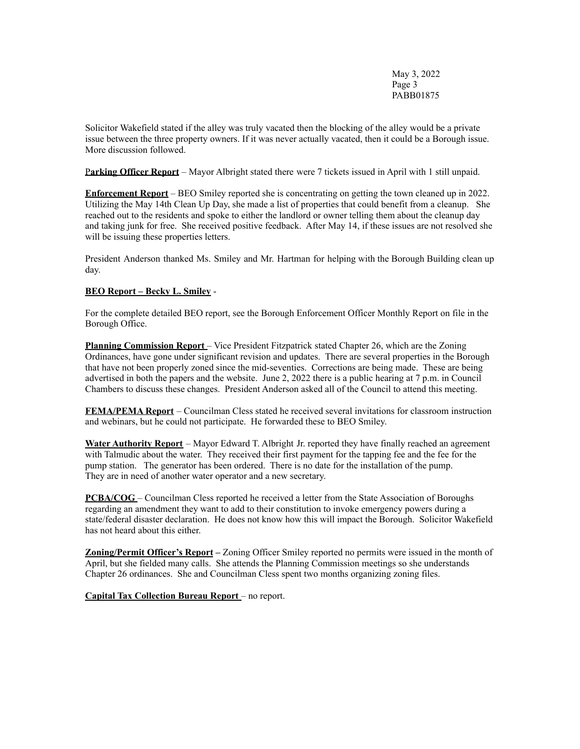May 3, 2022 Page 3 PABB01875

Solicitor Wakefield stated if the alley was truly vacated then the blocking of the alley would be a private issue between the three property owners. If it was never actually vacated, then it could be a Borough issue. More discussion followed.

P**arking Officer Report** – Mayor Albright stated there were 7 tickets issued in April with 1 still unpaid.

**Enforcement Report** – BEO Smiley reported she is concentrating on getting the town cleaned up in 2022. Utilizing the May 14th Clean Up Day, she made a list of properties that could benefit from a cleanup. She reached out to the residents and spoke to either the landlord or owner telling them about the cleanup day and taking junk for free. She received positive feedback. After May 14, if these issues are not resolved she will be issuing these properties letters.

President Anderson thanked Ms. Smiley and Mr. Hartman for helping with the Borough Building clean up day.

### **BEO Report – Becky L. Smiley** -

For the complete detailed BEO report, see the Borough Enforcement Officer Monthly Report on file in the Borough Office.

**Planning Commission Report** – Vice President Fitzpatrick stated Chapter 26, which are the Zoning Ordinances, have gone under significant revision and updates. There are several properties in the Borough that have not been properly zoned since the mid-seventies. Corrections are being made. These are being advertised in both the papers and the website. June 2, 2022 there is a public hearing at 7 p.m. in Council Chambers to discuss these changes. President Anderson asked all of the Council to attend this meeting.

**FEMA/PEMA Report** – Councilman Cless stated he received several invitations for classroom instruction and webinars, but he could not participate. He forwarded these to BEO Smiley.

**Water Authority Report** – Mayor Edward T. Albright Jr. reported they have finally reached an agreement with Talmudic about the water. They received their first payment for the tapping fee and the fee for the pump station. The generator has been ordered. There is no date for the installation of the pump. They are in need of another water operator and a new secretary.

**PCBA/COG** – Councilman Cless reported he received a letter from the State Association of Boroughs regarding an amendment they want to add to their constitution to invoke emergency powers during a state/federal disaster declaration. He does not know how this will impact the Borough. Solicitor Wakefield has not heard about this either.

**Zoning/Permit Officer's Report –** Zoning Officer Smiley reported no permits were issued in the month of April, but she fielded many calls. She attends the Planning Commission meetings so she understands Chapter 26 ordinances. She and Councilman Cless spent two months organizing zoning files.

**Capital Tax Collection Bureau Report** – no report.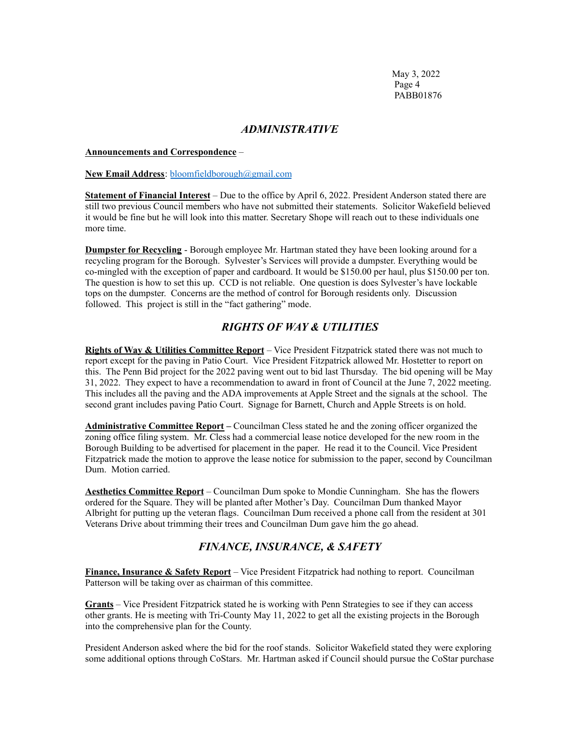May 3, 2022 Page 4 PABB01876

### *ADMINISTRATIVE*

#### **Announcements and Correspondence** –

#### **New Email Address**: [bloomfieldborough@gmail.com](mailto:bloomfieldborough@gmail.com)

**Statement of Financial Interest** – Due to the office by April 6, 2022. President Anderson stated there are still two previous Council members who have not submitted their statements. Solicitor Wakefield believed it would be fine but he will look into this matter. Secretary Shope will reach out to these individuals one more time.

**Dumpster for Recycling** - Borough employee Mr. Hartman stated they have been looking around for a recycling program for the Borough. Sylvester's Services will provide a dumpster. Everything would be co-mingled with the exception of paper and cardboard. It would be \$150.00 per haul, plus \$150.00 per ton. The question is how to set this up. CCD is not reliable. One question is does Sylvester's have lockable tops on the dumpster. Concerns are the method of control for Borough residents only. Discussion followed. This project is still in the "fact gathering" mode.

# *RIGHTS OF WAY & UTILITIES*

**Rights of Way & Utilities Committee Report** – Vice President Fitzpatrick stated there was not much to report except for the paving in Patio Court. Vice President Fitzpatrick allowed Mr. Hostetter to report on this. The Penn Bid project for the 2022 paving went out to bid last Thursday. The bid opening will be May 31, 2022. They expect to have a recommendation to award in front of Council at the June 7, 2022 meeting. This includes all the paving and the ADA improvements at Apple Street and the signals at the school. The second grant includes paving Patio Court. Signage for Barnett, Church and Apple Streets is on hold.

**Administrative Committee Report –** Councilman Cless stated he and the zoning officer organized the zoning office filing system. Mr. Cless had a commercial lease notice developed for the new room in the Borough Building to be advertised for placement in the paper. He read it to the Council. Vice President Fitzpatrick made the motion to approve the lease notice for submission to the paper, second by Councilman Dum. Motion carried.

**Aesthetics Committee Report** – Councilman Dum spoke to Mondie Cunningham. She has the flowers ordered for the Square. They will be planted after Mother's Day. Councilman Dum thanked Mayor Albright for putting up the veteran flags. Councilman Dum received a phone call from the resident at 301 Veterans Drive about trimming their trees and Councilman Dum gave him the go ahead.

# *FINANCE, INSURANCE, & SAFETY*

**Finance, Insurance & Safety Report** – Vice President Fitzpatrick had nothing to report. Councilman Patterson will be taking over as chairman of this committee.

**Grants** – Vice President Fitzpatrick stated he is working with Penn Strategies to see if they can access other grants. He is meeting with Tri-County May 11, 2022 to get all the existing projects in the Borough into the comprehensive plan for the County.

President Anderson asked where the bid for the roof stands. Solicitor Wakefield stated they were exploring some additional options through CoStars. Mr. Hartman asked if Council should pursue the CoStar purchase